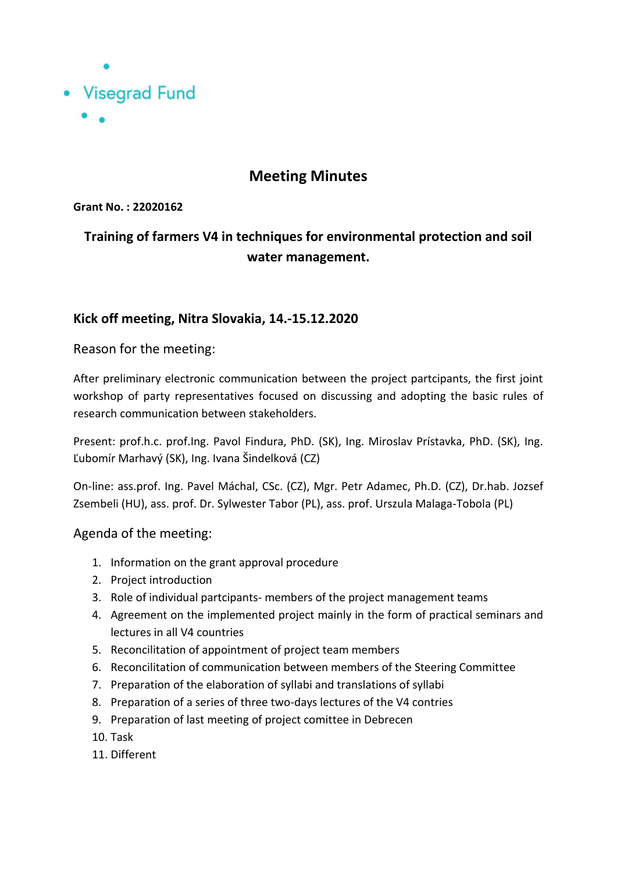

## **Meeting Minutes**

**Grant No. : 22020162**

# **Training of farmers V4 in techniques for environmental protection and soil water management.**

## **Kick off meeting, Nitra Slovakia, 14.-15.12.2020**

### Reason for the meeting:

After preliminary electronic communication between the project partcipants, the first joint workshop of party representatives focused on discussing and adopting the basic rules of research communication between stakeholders.

Present: prof.h.c. prof.Ing. Pavol Findura, PhD. (SK), Ing. Miroslav Prístavka, PhD. (SK), Ing. Ľubomír Marhavý (SK), Ing. Ivana Šindelková (CZ)

On-line: ass.prof. Ing. Pavel Máchal, CSc. (CZ), Mgr. Petr Adamec, Ph.D. (CZ), Dr.hab. Jozsef Zsembeli (HU), ass. prof. Dr. Sylwester Tabor (PL), ass. prof. Urszula Malaga-Tobola (PL)

### Agenda of the meeting:

- 1. Information on the grant approval procedure
- 2. Project introduction
- 3. Role of individual partcipants- members of the project management teams
- 4. Agreement on the implemented project mainly in the form of practical seminars and lectures in all V4 countries
- 5. Reconcilitation of appointment of project team members
- 6. Reconcilitation of communication between members of the Steering Committee
- 7. Preparation of the elaboration of syllabi and translations of syllabi
- 8. Preparation of a series of three two-days lectures of the V4 contries
- 9. Preparation of last meeting of project comittee in Debrecen
- 10. Task
- 11. Different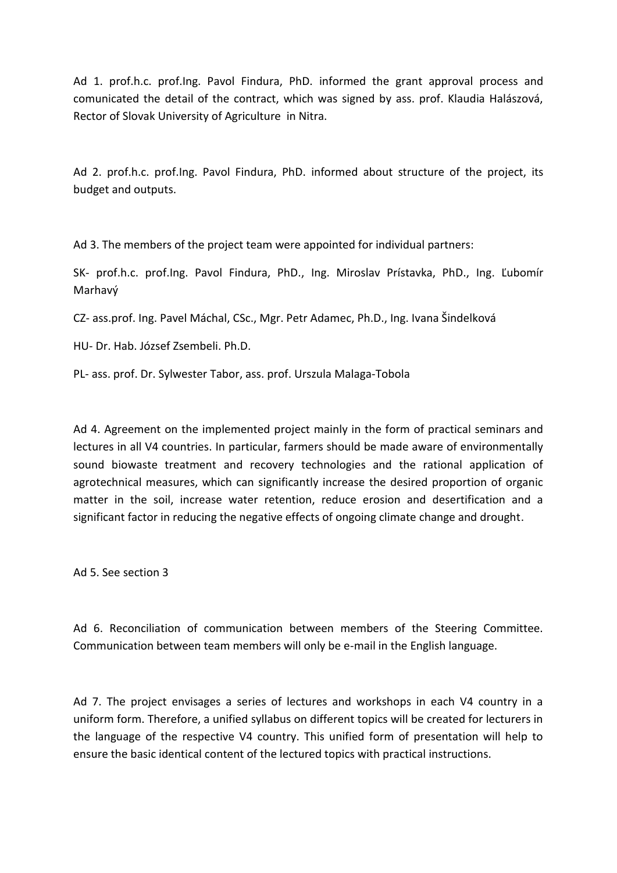Ad 1. prof.h.c. prof.Ing. Pavol Findura, PhD. informed the grant approval process and comunicated the detail of the contract, which was signed by ass. prof. Klaudia Halászová, Rector of Slovak University of Agriculture in Nitra.

Ad 2. prof.h.c. prof.Ing. Pavol Findura, PhD. informed about structure of the project, its budget and outputs.

Ad 3. The members of the project team were appointed for individual partners:

SK- prof.h.c. prof.Ing. Pavol Findura, PhD., Ing. Miroslav Prístavka, PhD., Ing. Ľubomír Marhavý

CZ- ass.prof. Ing. Pavel Máchal, CSc., Mgr. Petr Adamec, Ph.D., Ing. Ivana Šindelková

HU- Dr. Hab. József Zsembeli. Ph.D.

PL- ass. prof. Dr. Sylwester Tabor, ass. prof. Urszula Malaga-Tobola

Ad 4. Agreement on the implemented project mainly in the form of practical seminars and lectures in all V4 countries. In particular, farmers should be made aware of environmentally sound biowaste treatment and recovery technologies and the rational application of agrotechnical measures, which can significantly increase the desired proportion of organic matter in the soil, increase water retention, reduce erosion and desertification and a significant factor in reducing the negative effects of ongoing climate change and drought.

Ad 5. See section 3

Ad 6. Reconciliation of communication between members of the Steering Committee. Communication between team members will only be e-mail in the English language.

Ad 7. The project envisages a series of lectures and workshops in each V4 country in a uniform form. Therefore, a unified syllabus on different topics will be created for lecturers in the language of the respective V4 country. This unified form of presentation will help to ensure the basic identical content of the lectured topics with practical instructions.